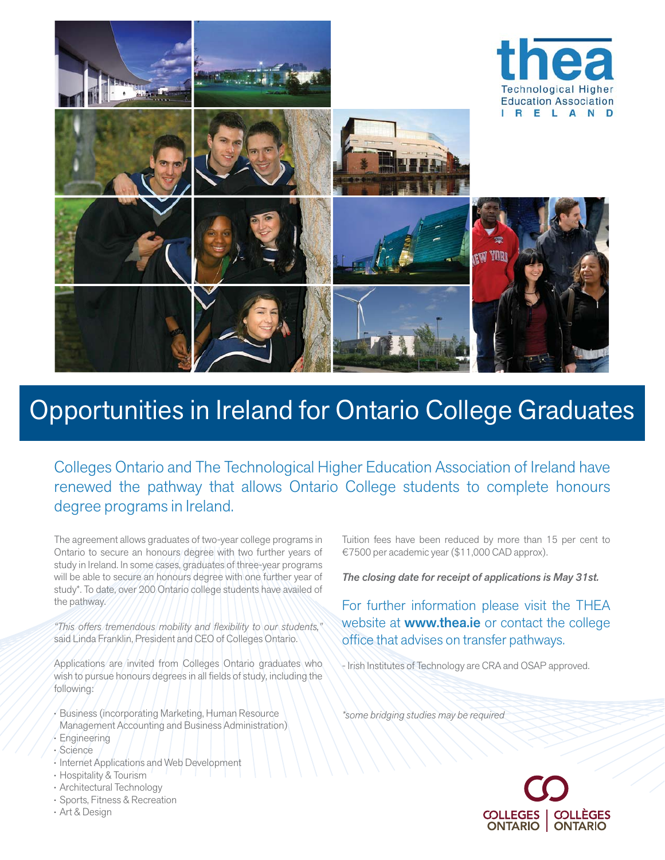

## Opportunities in Ireland for Ontario College Graduates

Colleges Ontario and The Technological Higher Education Association of Ireland have renewed the pathway that allows Ontario College students to complete honours degree programs in Ireland.

The agreement allows graduates of two-year college programs in Ontario to secure an honours degree with two further years of study in Ireland. In some cases, graduates of three-year programs will be able to secure an honours degree with one further year of study\*. To date, over 200 Ontario college students have availed of the pathway.

*"This offers tremendous mobility and flexibility to our students,"* said Linda Franklin, President and CEO of Colleges Ontario.

Applications are invited from Colleges Ontario graduates who wish to pursue honours degrees in all fields of study, including the following:

- Business (incorporating Marketing, Human Resource Management Accounting and Business Administration)
- Engineering
- Science
- Internet Applications and Web Development
- Hospitality & Tourism
- Architectural Technology
- Sports, Fitness & Recreation
- Art & Design

Tuition fees have been reduced by more than 15 per cent to €7500 per academic year (\$11,000 CAD approx).

*The closing date for receipt of applications is May 31st.*

For further information please visit the THEA website at **www.thea.ie** or contact the college office that advises on transfer pathways.

- Irish Institutes of Technology are CRA and OSAP approved.

*\*some bridging studies may be required*